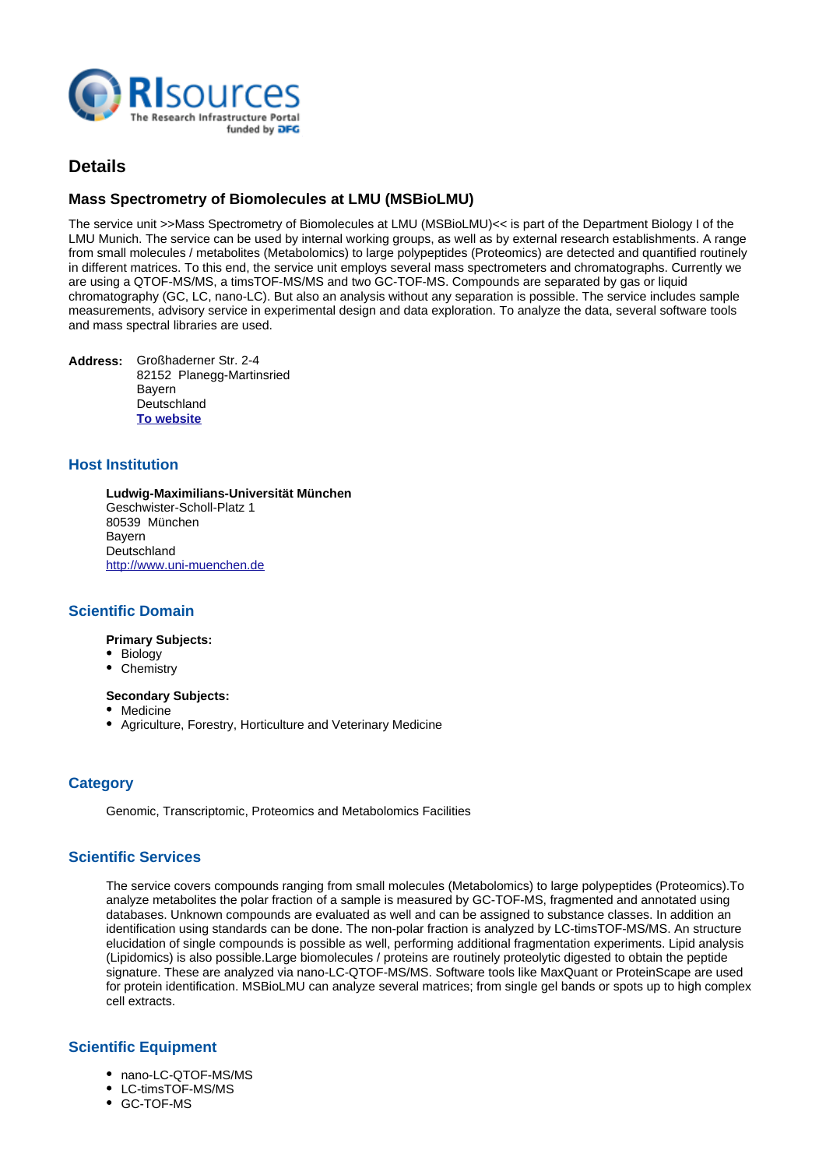

# **Details**

## **Mass Spectrometry of Biomolecules at LMU (MSBioLMU)**

The service unit >>Mass Spectrometry of Biomolecules at LMU (MSBioLMU)<< is part of the Department Biology I of the LMU Munich. The service can be used by internal working groups, as well as by external research establishments. A range from small molecules / metabolites (Metabolomics) to large polypeptides (Proteomics) are detected and quantified routinely in different matrices. To this end, the service unit employs several mass spectrometers and chromatographs. Currently we are using a QTOF-MS/MS, a timsTOF-MS/MS and two GC-TOF-MS. Compounds are separated by gas or liquid chromatography (GC, LC, nano-LC). But also an analysis without any separation is possible. The service includes sample measurements, advisory service in experimental design and data exploration. To analyze the data, several software tools and mass spectral libraries are used.

**Address:** Großhaderner Str. 2-4 82152 Planegg-Martinsried Bayern **Deutschland [To website](http://www.biologie.uni-muenchen.de/service-units/massenspektrometrie/index.html)**

#### **Host Institution**

**Ludwig-Maximilians-Universität München** Geschwister-Scholl-Platz 1 80539 München Bayern **Deutschland** <http://www.uni-muenchen.de>

#### **Scientific Domain**

**Primary Subjects:**

- Biology
- Chemistry

#### **Secondary Subjects:**

- Medicine
- Agriculture, Forestry, Horticulture and Veterinary Medicine

## **Category**

Genomic, Transcriptomic, Proteomics and Metabolomics Facilities

#### **Scientific Services**

The service covers compounds ranging from small molecules (Metabolomics) to large polypeptides (Proteomics).
To analyze metabolites the polar fraction of a sample is measured by GC-TOF-MS, fragmented and annotated using databases. Unknown compounds are evaluated as well and can be assigned to substance classes. In addition an identification using standards can be done. The non-polar fraction is analyzed by LC-timsTOF-MS/MS. An structure elucidation of single compounds is possible as well, performing additional fragmentation experiments. Lipid analysis (Lipidomics) is also possible.
Large biomolecules / proteins are routinely proteolytic digested to obtain the peptide signature. These are analyzed via nano-LC-QTOF-MS/MS. Software tools like MaxQuant or ProteinScape are used for protein identification. MSBioLMU can analyze several matrices; from single gel bands or spots up to high complex cell extracts.

#### **Scientific Equipment**

- nano-LC-QTOF-MS/MS
- LC-timsTOF-MS/MS
- GC-TOF-MS